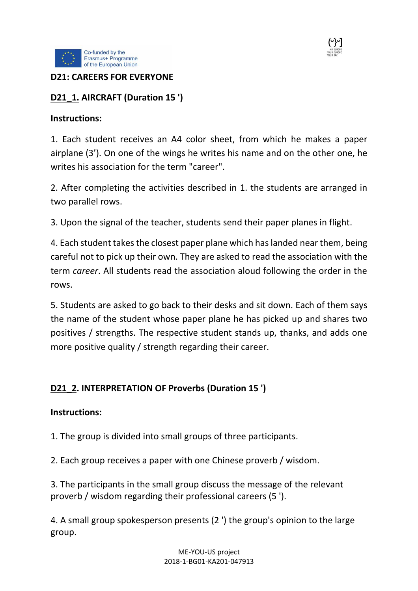



### **D21: CAREERS FOR EVERYONE**

### **D21\_1. AIRCRAFT (Duration 15 ')**

#### **Instructions:**

1. Each student receives an A4 color sheet, from which he makes a paper airplane (3'). On one of the wings he writes his name and on the other one, he writes his association for the term "career".

2. After completing the activities described in 1. the students are arranged in two parallel rows.

3. Upon the signal of the teacher, students send their paper planes in flight.

4. Each student takes the closest paper plane which has landed near them, being careful not to pick up their own. They are asked to read the association with the term *career*. All students read the association aloud following the order in the rows.

5. Students are asked to go back to their desks and sit down. Each of them says the name of the student whose paper plane he has picked up and shares two positives / strengths. The respective student stands up, thanks, and adds one more positive quality / strength regarding their career.

## **D21\_2. INTERPRETATION OF Proverbs (Duration 15 ')**

#### **Instructions:**

1. The group is divided into small groups of three participants.

2. Each group receives a paper with one Chinese proverb / wisdom.

3. The participants in the small group discuss the message of the relevant proverb / wisdom regarding their professional careers (5 ').

4. A small group spokesperson presents (2 ') the group's opinion to the large group.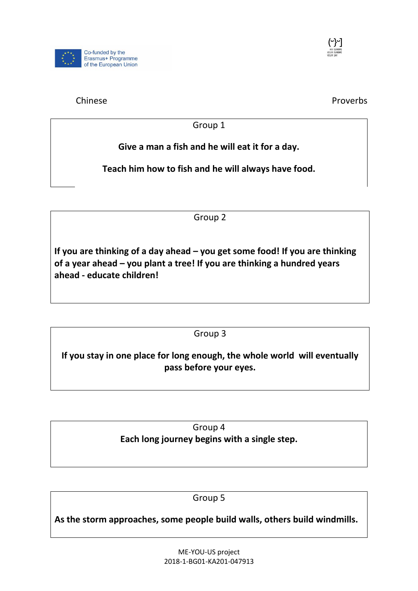



Chinese **Proverbs** 

Group 1

**Give a man a fish and he will eat it for a day.**

**Teach him how to fish and he will always have food.**

Group 2

**If you are thinking of a day ahead – you get some food! If you are thinking of a year ahead – you plant a tree! If you are thinking a hundred years ahead - educate children!**

Group 3

**If you stay in one place for long enough, the whole world will eventually pass before your eyes.**

> Group 4 **Each long journey begins with a single step.**

> > Group 5

**As the storm approaches, some people build walls, others build windmills.**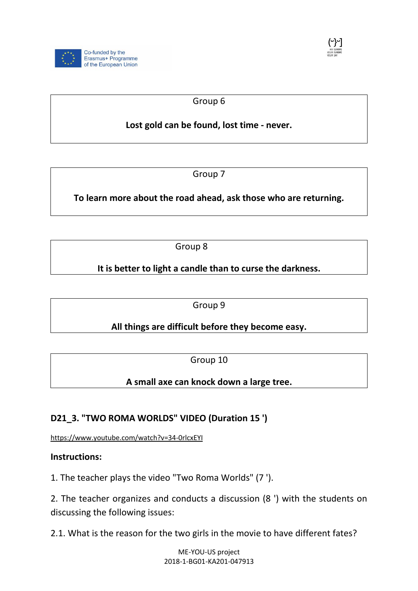



## Group 6

# **Lost gold can be found, lost time - never.**

Group 7

**To learn more about the road ahead, ask those who are returning.**

Group 8

**It is better to light a candle than to curse the darkness.**

Group 9

**All things are difficult before they become easy.**

Group 10

**A small axe can knock down a large tree.**

## **D21\_3. "TWO ROMA WORLDS" VIDEO (Duration 15 ')**

<https://www.youtube.com/watch?v=34-0rlcxEYI>

**Instructions:**

1. The teacher plays the video "Two Roma Worlds" (7 ').

2. The teacher organizes and conducts a discussion (8 ') with the students on discussing the following issues:

2.1. What is the reason for the two girls in the movie to have different fates?

ME-YOU-US project 2018-1-BG01-KA201-047913